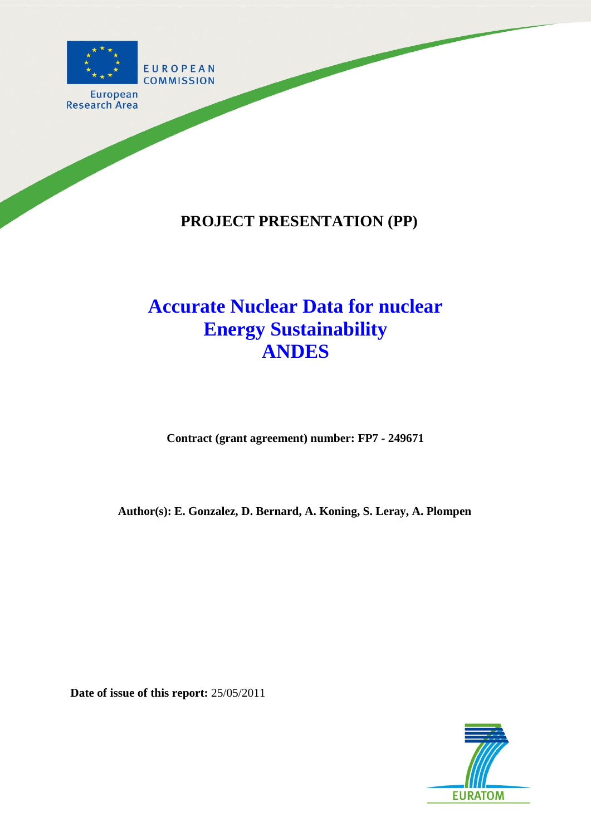

**European Research Area** 

# **PROJECT PRESENTATION (PP)**

# **Accurate Nuclear Data for nuclear Energy Sustainability ANDES**

**Contract (grant agreement) number: FP7 - 249671**

**Author(s): E. Gonzalez, D. Bernard, A. Koning, S. Leray, A. Plompen**

**Date of issue of this report:** 25/05/2011

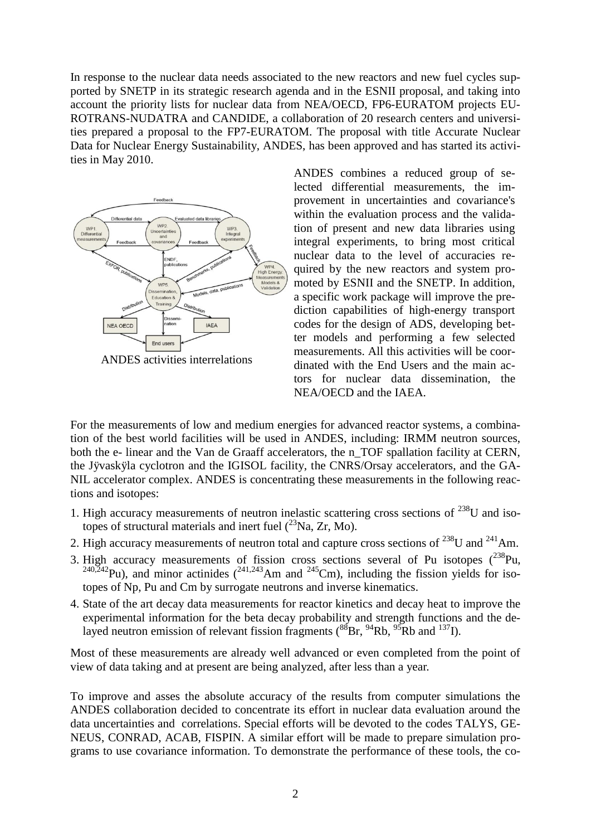In response to the nuclear data needs associated to the new reactors and new fuel cycles supported by SNETP in its strategic research agenda and in the ESNII proposal, and taking into account the priority lists for nuclear data from NEA/OECD, FP6-EURATOM projects EU-ROTRANS-NUDATRA and CANDIDE, a collaboration of 20 research centers and universities prepared a proposal to the FP7-EURATOM. The proposal with title Accurate Nuclear Data for Nuclear Energy Sustainability, ANDES, has been approved and has started its activities in May 2010.



ANDES combines a reduced group of selected differential measurements, the improvement in uncertainties and covariance's within the evaluation process and the validation of present and new data libraries using integral experiments, to bring most critical nuclear data to the level of accuracies required by the new reactors and system promoted by ESNII and the SNETP. In addition, a specific work package will improve the prediction capabilities of high-energy transport codes for the design of ADS, developing better models and performing a few selected measurements. All this activities will be coordinated with the End Users and the main actors for nuclear data dissemination, the NEA/OECD and the IAEA.

For the measurements of low and medium energies for advanced reactor systems, a combination of the best world facilities will be used in ANDES, including: IRMM neutron sources, both the e- linear and the Van de Graaff accelerators, the n\_TOF spallation facility at CERN, the Jÿvaskÿla cyclotron and the IGISOL facility, the CNRS/Orsay accelerators, and the GA-NIL accelerator complex. ANDES is concentrating these measurements in the following reactions and isotopes:

- 1. High accuracy measurements of neutron inelastic scattering cross sections of  $^{238}$ U and isotopes of structural materials and inert fuel  $(^{23}Na, Zr, Mo)$ .
- 2. High accuracy measurements of neutron total and capture cross sections of  $^{238}$ U and  $^{241}$ Am.
- 3. High accuracy measurements of fission cross sections several of Pu isotopes  $(^{238}Pu$ ,  $^{240,242}$ Pu), and minor actinides  $(^{241,243}$ Am and  $^{245}$ Cm), including the fission yields for isotopes of Np, Pu and Cm by surrogate neutrons and inverse kinematics.
- 4. State of the art decay data measurements for reactor kinetics and decay heat to improve the experimental information for the beta decay probability and strength functions and the delayed neutron emission of relevant fission fragments  $({}^{88}Br, {}^{94}Rb, {}^{95}Rb$  and  $^{137}I$ ).

Most of these measurements are already well advanced or even completed from the point of view of data taking and at present are being analyzed, after less than a year.

To improve and asses the absolute accuracy of the results from computer simulations the ANDES collaboration decided to concentrate its effort in nuclear data evaluation around the data uncertainties and correlations. Special efforts will be devoted to the codes TALYS, GE-NEUS, CONRAD, ACAB, FISPIN. A similar effort will be made to prepare simulation programs to use covariance information. To demonstrate the performance of these tools, the co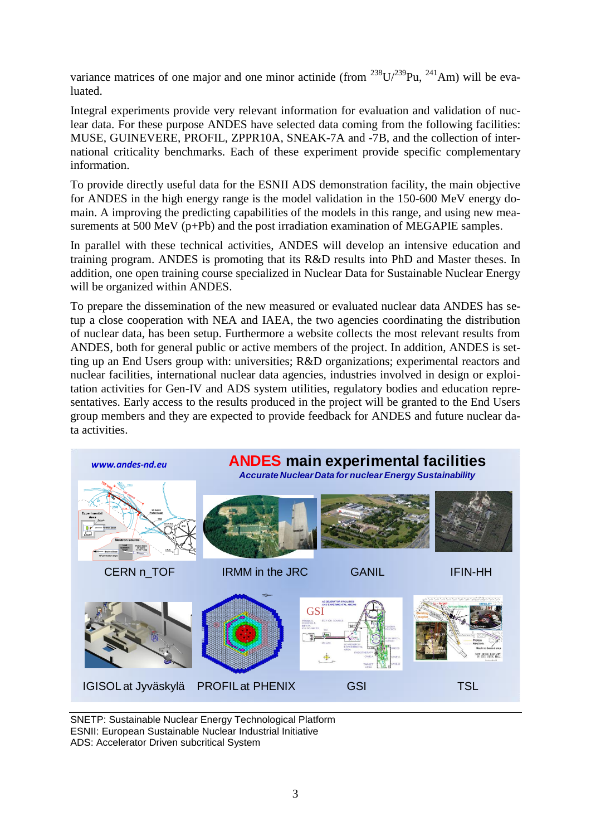variance matrices of one major and one minor actinide (from  $^{238}U^{239}Pu$ ,  $^{241}Am$ ) will be evaluated.

Integral experiments provide very relevant information for evaluation and validation of nuclear data. For these purpose ANDES have selected data coming from the following facilities: MUSE, GUINEVERE, PROFIL, ZPPR10A, SNEAK-7A and -7B, and the collection of international criticality benchmarks. Each of these experiment provide specific complementary information.

To provide directly useful data for the ESNII ADS demonstration facility, the main objective for ANDES in the high energy range is the model validation in the 150-600 MeV energy domain. A improving the predicting capabilities of the models in this range, and using new measurements at 500 MeV (p+Pb) and the post irradiation examination of MEGAPIE samples.

In parallel with these technical activities, ANDES will develop an intensive education and training program. ANDES is promoting that its R&D results into PhD and Master theses. In addition, one open training course specialized in Nuclear Data for Sustainable Nuclear Energy will be organized within ANDES.

To prepare the dissemination of the new measured or evaluated nuclear data ANDES has setup a close cooperation with NEA and IAEA, the two agencies coordinating the distribution of nuclear data, has been setup. Furthermore a website collects the most relevant results from ANDES, both for general public or active members of the project. In addition, ANDES is setting up an End Users group with: universities; R&D organizations; experimental reactors and nuclear facilities, international nuclear data agencies, industries involved in design or exploitation activities for Gen-IV and ADS system utilities, regulatory bodies and education representatives. Early access to the results produced in the project will be granted to the End Users group members and they are expected to provide feedback for ANDES and future nuclear data activities.



SNETP: Sustainable Nuclear Energy Technological Platform ESNII: European Sustainable Nuclear Industrial Initiative ADS: Accelerator Driven subcritical System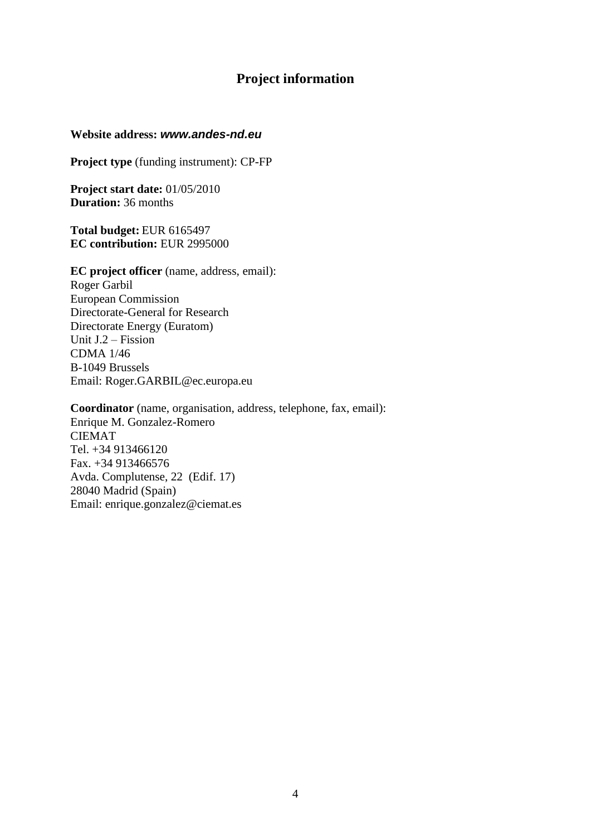## **Project information**

#### **Website address:** *www.andes-nd.eu*

**Project type** (funding instrument): CP-FP

**Project start date:** 01/05/2010 **Duration:** 36 months

**Total budget:** EUR 6165497 **EC contribution:** EUR 2995000

**EC project officer** (name, address, email): Roger Garbil European Commission Directorate-General for Research Directorate Energy (Euratom) Unit J.2 – Fission CDMA 1/46 B-1049 Brussels Email: Roger.GARBIL@ec.europa.eu

**Coordinator** (name, organisation, address, telephone, fax, email): Enrique M. Gonzalez-Romero CIEMAT Tel. +34 913466120 Fax. +34 913466576 Avda. Complutense, 22 (Edif. 17) 28040 Madrid (Spain) Email: enrique.gonzalez@ciemat.es